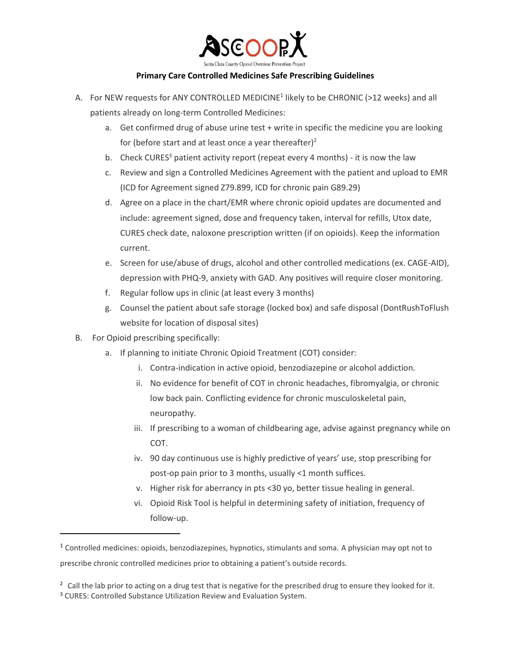

## **Primary Care Controlled Medicines Safe Prescribing Guidelines**

- A. For NEW requests for ANY CONTROLLED MEDICINE<sup>1</sup> likely to be CHRONIC (>12 weeks) and all patients already on long-term Controlled Medicines:
	- a. Get confirmed drug of abuse urine test + write in specific the medicine you are looking for (before start and at least once a year thereafter) $2$
	- b. Check CURES<sup>3</sup> patient activity report (repeat every 4 months) it is now the law
	- c. Review and sign a Controlled Medicines Agreement with the patient and upload to EMR (ICD for Agreement signed Z79.899, ICD for chronic pain G89.29)
	- d. Agree on a place in the chart/EMR where chronic opioid updates are documented and include: agreement signed, dose and frequency taken, interval for refills, Utox date, CURES check date, naloxone prescription written (if on opioids). Keep the information current.
	- e. Screen for use/abuse of drugs, alcohol and other controlled medications (ex. CAGE-AID), depression with PHQ-9, anxiety with GAD. Any positives will require closer monitoring.
	- f. Regular follow ups in clinic (at least every 3 months)
	- g. Counsel the patient about safe storage (locked box) and safe disposal (DontRushToFlush website for location of disposal sites)
- B. For Opioid prescribing specifically:

 $\overline{\phantom{a}}$ 

- a. If planning to initiate Chronic Opioid Treatment (COT) consider:
	- i. Contra-indication in active opioid, benzodiazepine or alcohol addiction.
	- ii. No evidence for benefit of COT in chronic headaches, fibromyalgia, or chronic low back pain. Conflicting evidence for chronic musculoskeletal pain, neuropathy.
	- iii. If prescribing to a woman of childbearing age, advise against pregnancy while on COT.
	- iv. 90 day continuous use is highly predictive of years' use, stop prescribing for post-op pain prior to 3 months, usually <1 month suffices.
	- v. Higher risk for aberrancy in pts <30 yo, better tissue healing in general.
	- vi. Opioid Risk Tool is helpful in determining safety of initiation, frequency of follow-up.

 $1$  Controlled medicines: opioids, benzodiazepines, hypnotics, stimulants and soma. A physician may opt not to prescribe chronic controlled medicines prior to obtaining a patient's outside records.

 $2 \text{ Call the lab prior to acting on a drug test that is negative for the prescribed drug to ensure they looked for it.}$ <sup>3</sup> CURES: Controlled Substance Utilization Review and Evaluation System.